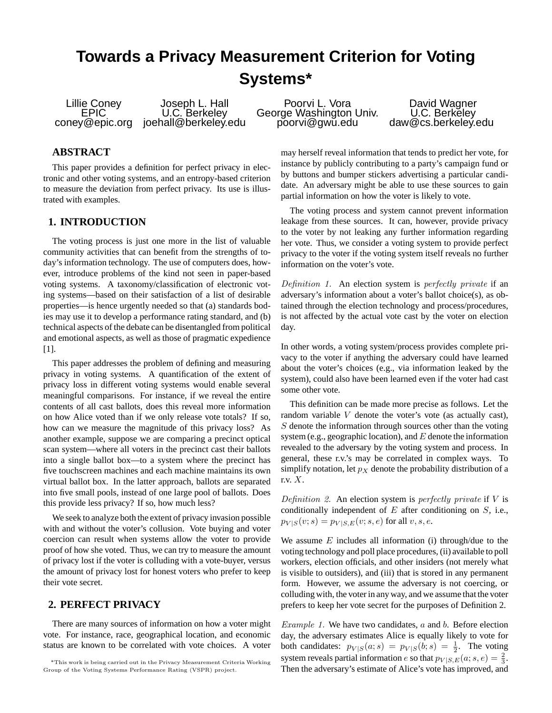# **Towards a Privacy Measurement Criterion for Voting Systems\***

Lillie Coney Joseph L. Hall Poorvi L. Vora David Wagner EPIC U.C. Berkeley George Washington Univ. U.C. Berkeley<br>EPIC U.C. Berkeley George Washington Univ. U.C. Berkeley<br>coney@epic.org joehall@berkeley.edu poorvi@gwu.edu d

#### **ABSTRACT**

This paper provides a definition for perfect privacy in electronic and other voting systems, and an entropy-based criterion to measure the deviation from perfect privacy. Its use is illustrated with examples.

# **1. INTRODUCTION**

The voting process is just one more in the list of valuable community activities that can benefit from the strengths of today's information technology. The use of computers does, however, introduce problems of the kind not seen in paper-based voting systems. A taxonomy/classification of electronic voting systems—based on their satisfaction of a list of desirable properties—is hence urgently needed so that (a) standards bodies may use it to develop a performance rating standard, and (b) technical aspects of the debate can be disentangled from political and emotional aspects, as well as those of pragmatic expedience [1].

This paper addresses the problem of defining and measuring privacy in voting systems. A quantification of the extent of privacy loss in different voting systems would enable several meaningful comparisons. For instance, if we reveal the entire contents of all cast ballots, does this reveal more information on how Alice voted than if we only release vote totals? If so, how can we measure the magnitude of this privacy loss? As another example, suppose we are comparing a precinct optical scan system—where all voters in the precinct cast their ballots into a single ballot box—to a system where the precinct has five touchscreen machines and each machine maintains its own virtual ballot box. In the latter approach, ballots are separated into five small pools, instead of one large pool of ballots. Does this provide less privacy? If so, how much less?

We seek to analyze both the extent of privacy invasion possible with and without the voter's collusion. Vote buying and voter coercion can result when systems allow the voter to provide proof of how she voted. Thus, we can try to measure the amount of privacy lost if the voter is colluding with a vote-buyer, versus the amount of privacy lost for honest voters who prefer to keep their vote secret.

# **2. PERFECT PRIVACY**

There are many sources of information on how a voter might vote. For instance, race, geographical location, and economic status are known to be correlated with vote choices. A voter

may herself reveal information that tends to predict her vote, for instance by publicly contributing to a party's campaign fund or by buttons and bumper stickers advertising a particular candidate. An adversary might be able to use these sources to gain partial information on how the voter is likely to vote.

The voting process and system cannot prevent information leakage from these sources. It can, however, provide privacy to the voter by not leaking any further information regarding her vote. Thus, we consider a voting system to provide perfect privacy to the voter if the voting system itself reveals no further information on the voter's vote.

Definition 1. An election system is perfectly private if an adversary's information about a voter's ballot choice(s), as obtained through the election technology and process/procedures, is not affected by the actual vote cast by the voter on election day.

In other words, a voting system/process provides complete privacy to the voter if anything the adversary could have learned about the voter's choices (e.g., via information leaked by the system), could also have been learned even if the voter had cast some other vote.

This definition can be made more precise as follows. Let the random variable  $V$  denote the voter's vote (as actually cast),  $S$  denote the information through sources other than the voting system (e.g., geographic location), and  $E$  denote the information revealed to the adversary by the voting system and process. In general, these r.v.'s may be correlated in complex ways. To simplify notation, let  $p<sub>X</sub>$  denote the probability distribution of a r.v. X.

Definition 2. An election system is perfectly private if  $V$  is conditionally independent of  $E$  after conditioning on  $S$ , i.e.,  $p_{V|S}(v; s) = p_{V|S, E}(v; s, e)$  for all  $v, s, e$ .

We assume  $E$  includes all information (i) through/due to the voting technology and poll place procedures, (ii) available to poll workers, election officials, and other insiders (not merely what is visible to outsiders), and (iii) that is stored in any permanent form. However, we assume the adversary is not coercing, or colluding with, the voter in any way, and we assume that the voter prefers to keep her vote secret for the purposes of Definition 2.

*Example 1.* We have two candidates,  $a$  and  $b$ . Before election day, the adversary estimates Alice is equally likely to vote for both candidates:  $p_{V|S}(a; s) = p_{V|S}(b; s) = \frac{1}{2}$ . The voting system reveals partial information e so that  $p_{V|S,E}(a; s, e) = \frac{2}{3}$ . Then the adversary's estimate of Alice's vote has improved, and

<sup>\*</sup>This work is being carried out in the Privacy Measurement Criteria Working Group of the Voting Systems Performance Rating (VSPR) project.